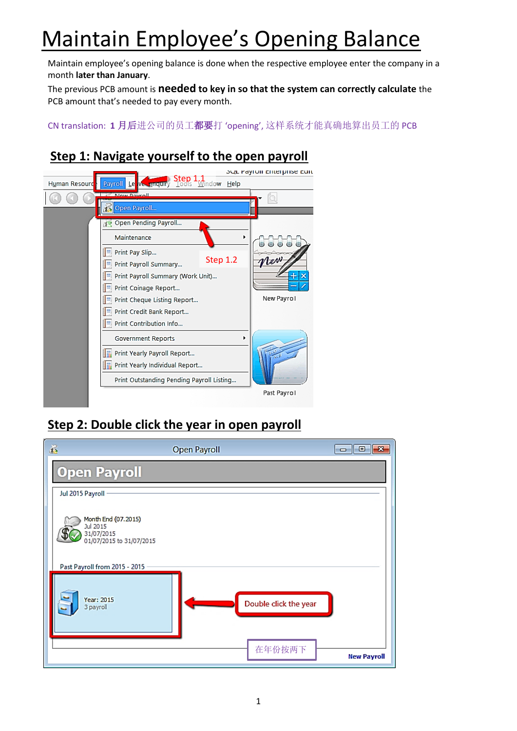# Maintain Employee's Opening Balance

Maintain employee's opening balance is done when the respective employee enter the company in a month **later than January**.

The previous PCB amount is **needed to key in so that the system can correctly calculate** the PCB amount that's needed to pay every month.

CN translation: **1** 月后进公司的员工都要打 'opening', 这样系统才能真确地算出员工的 PCB

### **Step 1: Navigate yourself to the open payroll**



#### **Step 2: Double click the year in open payroll**

| $\mathbb{Z}$                                                              | <b>Open Payroll</b>   | $-23$<br>   0<br>$\blacksquare$ |
|---------------------------------------------------------------------------|-----------------------|---------------------------------|
| <b>Open Payroll</b>                                                       |                       |                                 |
| Jul 2015 Payroll                                                          |                       |                                 |
| Month End (07.2015)<br>Jul 2015<br>31/07/2015<br>01/07/2015 to 31/07/2015 |                       |                                 |
| Past Payroll from 2015 - 2015                                             |                       |                                 |
| Year: 2015<br>3 payroll                                                   | Double click the year |                                 |
|                                                                           | 在年份按两下                | <b>New Payroll</b>              |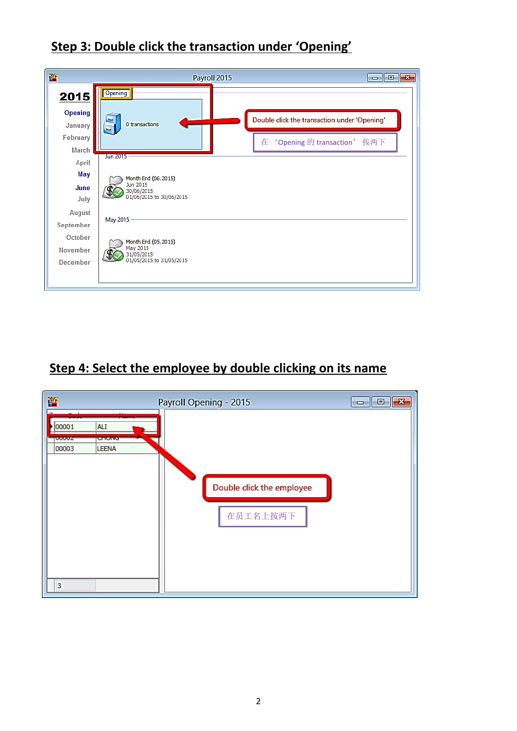

#### **Step 3: Double click the transaction under 'Opening'**

# **Step 4: Select the employee by double clicking on its name**

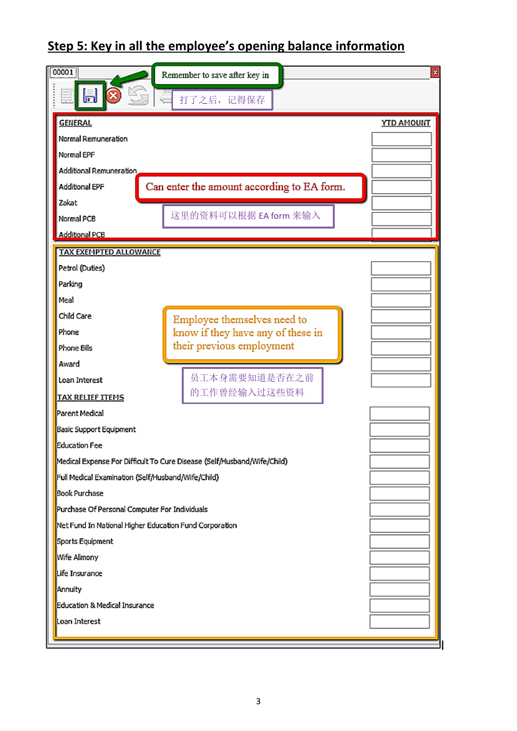# **Step 5: Key in all the employee's opening balance information**

| 00001                                                                   | Remember to save after key in                      | ×                 |  |  |  |  |
|-------------------------------------------------------------------------|----------------------------------------------------|-------------------|--|--|--|--|
| 圖<br>毭                                                                  | 打了之后,记得保存                                          |                   |  |  |  |  |
| <b>GENERAL</b>                                                          |                                                    | <b>YTD AMOUNT</b> |  |  |  |  |
| Normal Remuneration                                                     |                                                    |                   |  |  |  |  |
| Normal EPF                                                              |                                                    |                   |  |  |  |  |
| Additional Remuneration                                                 |                                                    |                   |  |  |  |  |
| Can enter the amount according to EA form.<br><b>Additional EPF</b>     |                                                    |                   |  |  |  |  |
| Zakat                                                                   |                                                    |                   |  |  |  |  |
| Normal PCB                                                              | 这里的资料可以根据 EA form 来输入                              |                   |  |  |  |  |
| <b>Additional PCB</b>                                                   |                                                    |                   |  |  |  |  |
| <b>TAX EXEMPTED ALLOWANCE</b>                                           |                                                    |                   |  |  |  |  |
| Petrol (Duties)                                                         |                                                    |                   |  |  |  |  |
| Parking                                                                 |                                                    |                   |  |  |  |  |
| Meal                                                                    |                                                    |                   |  |  |  |  |
| Child Care                                                              | Employee themselves need to                        |                   |  |  |  |  |
| Phone                                                                   | know if they have any of these in                  |                   |  |  |  |  |
| <b>Phone Bills</b>                                                      | their previous employment                          |                   |  |  |  |  |
| Award                                                                   |                                                    |                   |  |  |  |  |
| Loan Interest                                                           | 员工本身需要知道是否在之前                                      |                   |  |  |  |  |
| <b>TAX RELIEF ITEMS</b>                                                 | 的工作曾经输入过这些资料                                       |                   |  |  |  |  |
| Parent Medical                                                          |                                                    |                   |  |  |  |  |
| Basic Support Equipment                                                 |                                                    |                   |  |  |  |  |
| <b>Education Fee</b>                                                    |                                                    |                   |  |  |  |  |
| Medical Expense For Difficult To Cure Disease (Self/Husband/Wife/Child) |                                                    |                   |  |  |  |  |
|                                                                         | Full Medical Examination (Self/Husband/Wife/Child) |                   |  |  |  |  |
| <b>Book Purchase</b>                                                    |                                                    |                   |  |  |  |  |
| Purchase Of Personal Computer For Individuals                           |                                                    |                   |  |  |  |  |
| Net Fund In National Higher Education Fund Corporation                  |                                                    |                   |  |  |  |  |
| Sports Equipment                                                        |                                                    |                   |  |  |  |  |
| Wife Alimony                                                            |                                                    |                   |  |  |  |  |
| Life Insurance                                                          |                                                    |                   |  |  |  |  |
| Annuity                                                                 |                                                    |                   |  |  |  |  |
| Education & Medical Insurance                                           |                                                    |                   |  |  |  |  |
| Loan Interest                                                           |                                                    |                   |  |  |  |  |
|                                                                         |                                                    |                   |  |  |  |  |